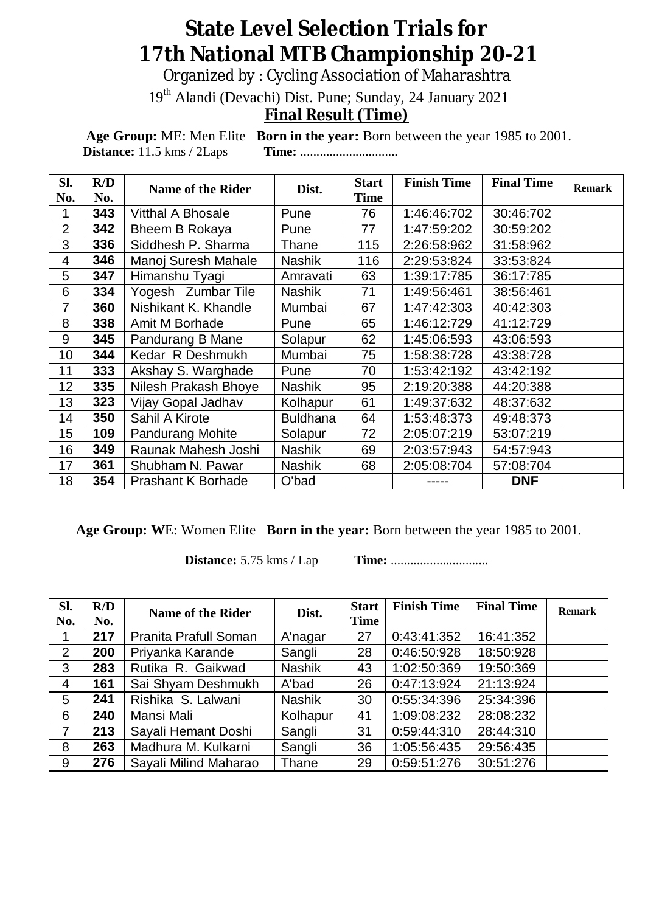## **State Level Selection Trials for 17th National MTB Championship 20-21**

Organized by : Cycling Association of Maharashtra

19th Alandi (Devachi) Dist. Pune; Sunday, 24 January 2021

## **Final Result (Time)**

**Age Group:** ME: Men Elite **Born in the year:** Born between the year 1985 to 2001. **Distance:** 11.5 kms / 2Laps **Time:** ..............................

| Sl.<br>No.      | R/D<br>No. | <b>Name of the Rider</b>  | Dist.           | <b>Start</b><br><b>Time</b> | <b>Finish Time</b> | <b>Final Time</b> | <b>Remark</b> |
|-----------------|------------|---------------------------|-----------------|-----------------------------|--------------------|-------------------|---------------|
|                 | 343        | <b>Vitthal A Bhosale</b>  | Pune            | 76                          | 1:46:46:702        | 30:46:702         |               |
| $\overline{2}$  | 342        | Bheem B Rokaya            | Pune            | 77                          | 1:47:59:202        | 30:59:202         |               |
| 3               | 336        | Siddhesh P. Sharma        | Thane           | 115                         | 2:26:58:962        | 31:58:962         |               |
| $\overline{4}$  | 346        | Manoj Suresh Mahale       | <b>Nashik</b>   | 116                         | 2:29:53:824        | 33:53:824         |               |
| 5               | 347        | Himanshu Tyagi            | Amravati        | 63                          | 1:39:17:785        | 36:17:785         |               |
| 6               | 334        | Yogesh Zumbar Tile        | <b>Nashik</b>   | 71                          | 1:49:56:461        | 38:56:461         |               |
| 7               | 360        | Nishikant K. Khandle      | Mumbai          | 67                          | 1:47:42:303        | 40:42:303         |               |
| 8               | 338        | Amit M Borhade            | Pune            | 65                          | 1:46:12:729        | 41:12:729         |               |
| 9               | 345        | Pandurang B Mane          | Solapur         | 62                          | 1:45:06:593        | 43:06:593         |               |
| 10              | 344        | Kedar R Deshmukh          | Mumbai          | 75                          | 1:58:38:728        | 43:38:728         |               |
| 11              | 333        | Akshay S. Warghade        | Pune            | 70                          | 1:53:42:192        | 43:42:192         |               |
| 12 <sub>2</sub> | 335        | Nilesh Prakash Bhoye      | <b>Nashik</b>   | 95                          | 2:19:20:388        | 44:20:388         |               |
| 13              | 323        | Vijay Gopal Jadhav        | Kolhapur        | 61                          | 1:49:37:632        | 48:37:632         |               |
| 14              | 350        | Sahil A Kirote            | <b>Buldhana</b> | 64                          | 1:53:48:373        | 49:48:373         |               |
| 15              | 109        | <b>Pandurang Mohite</b>   | Solapur         | 72                          | 2:05:07:219        | 53:07:219         |               |
| 16              | 349        | Raunak Mahesh Joshi       | Nashik          | 69                          | 2:03:57:943        | 54:57:943         |               |
| 17              | 361        | Shubham N. Pawar          | <b>Nashik</b>   | 68                          | 2:05:08:704        | 57:08:704         |               |
| 18              | 354        | <b>Prashant K Borhade</b> | O'bad           |                             |                    | <b>DNF</b>        |               |

**Age Group: W**E: Women Elite **Born in the year:** Born between the year 1985 to 2001.

**Distance:** 5.75 kms / Lap **Time:** ..............................

| Sl.<br>No.     | R/D<br>No. | <b>Name of the Rider</b> | Dist.         | <b>Start</b><br>Time | <b>Finish Time</b> | <b>Final Time</b> | <b>Remark</b> |
|----------------|------------|--------------------------|---------------|----------------------|--------------------|-------------------|---------------|
|                | 217        | Pranita Prafull Soman    | A'nagar       | 27                   | 0:43:41:352        | 16:41:352         |               |
| $\overline{2}$ | 200        | Priyanka Karande         | Sangli        | 28                   | 0:46:50:928        | 18:50:928         |               |
| 3              | 283        | Rutika R. Gaikwad        | <b>Nashik</b> | 43                   | 1:02:50:369        | 19:50:369         |               |
| 4              | 161        | Sai Shyam Deshmukh       | A'bad         | 26                   | 0:47:13:924        | 21:13:924         |               |
| 5              | 241        | Rishika S. Lalwani       | <b>Nashik</b> | 30                   | 0:55:34:396        | 25:34:396         |               |
| 6              | 240        | Mansi Mali               | Kolhapur      | 41                   | 1:09:08:232        | 28:08:232         |               |
| 7              | 213        | Sayali Hemant Doshi      | Sangli        | 31                   | 0:59:44:310        | 28:44:310         |               |
| 8              | 263        | Madhura M. Kulkarni      | Sangli        | 36                   | 1:05:56:435        | 29:56:435         |               |
| 9              | 276        | Sayali Milind Maharao    | Thane         | 29                   | 0:59:51:276        | 30:51:276         |               |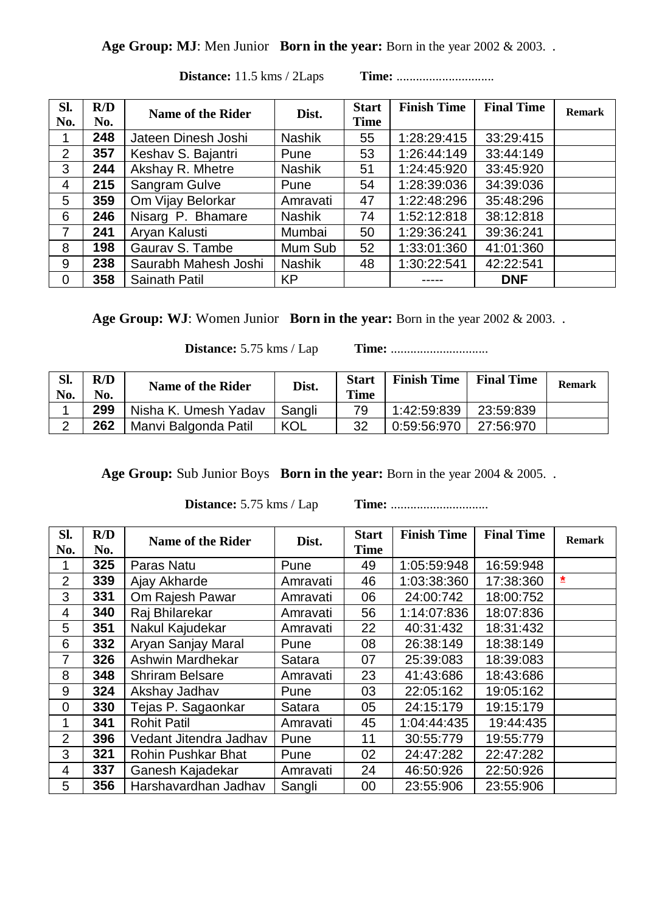## **Age Group: MJ**: Men Junior **Born in the year:** Born in the year 2002 & 2003..

| Sl.<br>No.     | R/D<br>No. | Name of the Rider    | Dist.         | <b>Start</b><br><b>Time</b> | <b>Finish Time</b> | <b>Final Time</b> | <b>Remark</b> |
|----------------|------------|----------------------|---------------|-----------------------------|--------------------|-------------------|---------------|
|                | 248        | Jateen Dinesh Joshi  | <b>Nashik</b> | 55                          | 1:28:29:415        | 33:29:415         |               |
| 2              | 357        | Keshav S. Bajantri   | Pune          | 53                          | 1:26:44:149        | 33:44:149         |               |
| 3              | 244        | Akshay R. Mhetre     | Nashik        | 51                          | 1:24:45:920        | 33:45:920         |               |
| 4              | 215        | Sangram Gulve        | Pune          | 54                          | 1:28:39:036        | 34:39:036         |               |
| 5              | 359        | Om Vijay Belorkar    | Amravati      | 47                          | 1:22:48:296        | 35:48:296         |               |
| 6              | 246        | Nisarg P. Bhamare    | <b>Nashik</b> | 74                          | 1:52:12:818        | 38:12:818         |               |
| $\overline{7}$ | 241        | Aryan Kalusti        | Mumbai        | 50                          | 1:29:36:241        | 39:36:241         |               |
| 8              | 198        | Gaurav S. Tambe      | Mum Sub       | 52                          | 1:33:01:360        | 41:01:360         |               |
| 9              | 238        | Saurabh Mahesh Joshi | <b>Nashik</b> | 48                          | 1:30:22:541        | 42:22:541         |               |
| 0              | 358        | Sainath Patil        | <b>KP</b>     |                             |                    | <b>DNF</b>        |               |

**Distance:** 11.5 kms / 2Laps **Time:** ..............................

**Age Group: WJ**: Women Junior **Born in the year:** Born in the year 2002 & 2003..

**Distance:** 5.75 kms / Lap **Time:** ..............................

| Sl.<br>No. | R/D<br>No. | <b>Name of the Rider</b> | Dist.  | <b>Start</b><br><b>Time</b> | <b>Finish Time</b> | <b>Final Time</b> | <b>Remark</b> |
|------------|------------|--------------------------|--------|-----------------------------|--------------------|-------------------|---------------|
|            | 299        | Nisha K. Umesh Yadav     | Sangli | 79                          | 1:42:59:839        | 23:59:839         |               |
| $\sim$     | 262        | Manvi Balgonda Patil     | KOL    | 32                          | 0:59:56:970        | 27:56:970         |               |

**Age Group:** Sub Junior Boys **Born in the year:** Born in the year 2004 & 2005..

**Distance:** 5.75 kms / Lap **Time:** ..............................

| Sl.<br>No.     | R/D<br>No. | <b>Name of the Rider</b> | Dist.    | <b>Start</b><br><b>Time</b> | <b>Finish Time</b> | <b>Final Time</b> | <b>Remark</b> |
|----------------|------------|--------------------------|----------|-----------------------------|--------------------|-------------------|---------------|
|                | 325        | Paras Natu               | Pune     | 49                          | 1:05:59:948        | 16:59:948         |               |
| $\overline{2}$ | 339        | Ajay Akharde             | Amravati | 46                          | 1:03:38:360        | 17:38:360         | *             |
| 3              | 331        | Om Rajesh Pawar          | Amravati | 06                          | 24:00:742          | 18:00:752         |               |
| 4              | 340        | Raj Bhilarekar           | Amravati | 56                          | 1:14:07:836        | 18:07:836         |               |
| 5              | 351        | Nakul Kajudekar          | Amravati | 22                          | 40:31:432          | 18:31:432         |               |
| 6              | 332        | Aryan Sanjay Maral       | Pune     | 08                          | 26:38:149          | 18:38:149         |               |
| 7              | 326        | Ashwin Mardhekar         | Satara   | 07                          | 25:39:083          | 18:39:083         |               |
| 8              | 348        | <b>Shriram Belsare</b>   | Amravati | 23                          | 41:43:686          | 18:43:686         |               |
| 9              | 324        | Akshay Jadhav            | Pune     | 03                          | 22:05:162          | 19:05:162         |               |
| $\overline{0}$ | 330        | Tejas P. Sagaonkar       | Satara   | 05                          | 24:15:179          | 19:15:179         |               |
| 1              | 341        | <b>Rohit Patil</b>       | Amravati | 45                          | 1:04:44:435        | 19:44:435         |               |
| $\overline{2}$ | 396        | Vedant Jitendra Jadhav   | Pune     | 11                          | 30:55:779          | 19:55:779         |               |
| 3              | 321        | Rohin Pushkar Bhat       | Pune     | 02                          | 24:47:282          | 22:47:282         |               |
| 4              | 337        | Ganesh Kajadekar         | Amravati | 24                          | 46:50:926          | 22:50:926         |               |
| 5              | 356        | Harshavardhan Jadhav     | Sangli   | 00                          | 23:55:906          | 23:55:906         |               |